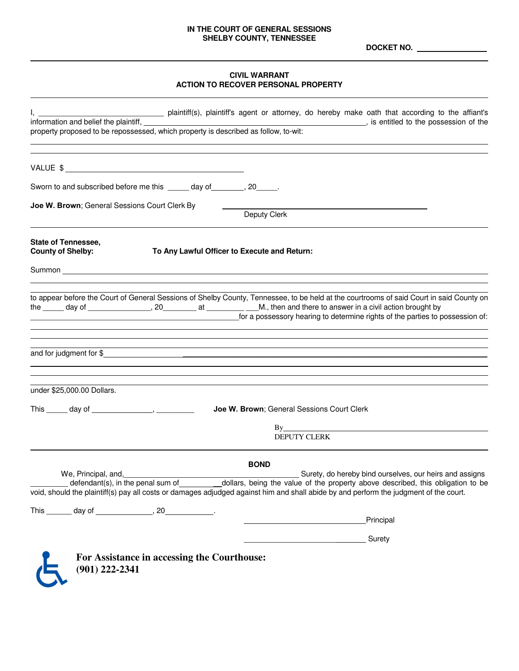## **IN THE COURT OF GENERAL SESSIONS SHELBY COUNTY, TENNESSEE**

**DOCKET NO. \_\_\_\_\_\_\_**

# **CIVIL WARRANT ACTION TO RECOVER PERSONAL PROPERTY**

| property proposed to be repossessed, which property is described as follow, to-wit:<br>property proposed to be repossessed, which property is described as follow, to-wit:                                                                                    |
|---------------------------------------------------------------------------------------------------------------------------------------------------------------------------------------------------------------------------------------------------------------|
|                                                                                                                                                                                                                                                               |
| VALUE \$                                                                                                                                                                                                                                                      |
| Sworn to and subscribed before me this ______ day of _______, 20_____.                                                                                                                                                                                        |
| Joe W. Brown; General Sessions Court Clerk By                                                                                                                                                                                                                 |
| Deputy Clerk                                                                                                                                                                                                                                                  |
| <b>State of Tennessee,</b><br><b>County of Shelby:</b><br>To Any Lawful Officer to Execute and Return:                                                                                                                                                        |
| Summon <b>Example 2018</b> Summon <b>Contract Contract Contract Contract Contract Contract Contract Contract Contract Contract Contract Contract Contract Contract Contract Contract Contract Contract Contract Contract Contract Con</b>                     |
|                                                                                                                                                                                                                                                               |
| to appear before the Court of General Sessions of Shelby County, Tennessee, to be held at the courtrooms of said Court in said County on<br>for a possessory hearing to determine rights of the parties to possession of:                                     |
| <u> 1989 - Andrea Stadt Brander, amerikansk politiker (d. 1989)</u><br>,我们也不会有什么。""我们的人,我们也不会有什么?""我们的人,我们也不会有什么?""我们的人,我们也不会有什么?""我们的人,我们也不会有什么?""我们的人                                                                                                       |
| under \$25,000.00 Dollars.                                                                                                                                                                                                                                    |
| This $\_\_\_$ day of $\_\_\_\_\_\_\$<br>Joe W. Brown; General Sessions Court Clerk                                                                                                                                                                            |
| By                                                                                                                                                                                                                                                            |
| <b>DEPUTY CLERK</b>                                                                                                                                                                                                                                           |
| <b>BOND</b>                                                                                                                                                                                                                                                   |
| Surety, do hereby bind ourselves, our heirs and assigns<br>We, Principal, and,                                                                                                                                                                                |
| dollars, being the value of the property above described, this obligation to be<br>defendant(s), in the penal sum of<br>void, should the plaintiff(s) pay all costs or damages adjudged against him and shall abide by and perform the judgment of the court. |
|                                                                                                                                                                                                                                                               |
| <b>Example 2018</b> Principal                                                                                                                                                                                                                                 |
| <u>________________________</u> Surety                                                                                                                                                                                                                        |
| For Assistance in accessing the Courthouse:<br>$(901)$ 222-2341                                                                                                                                                                                               |